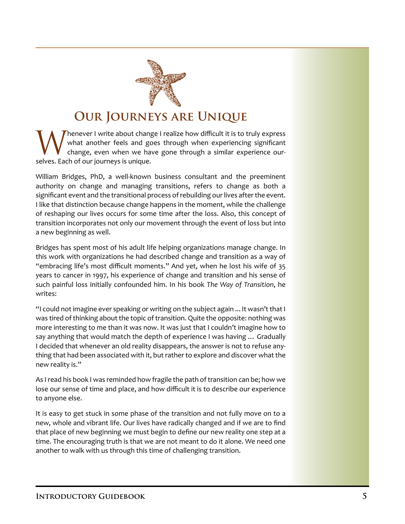

## **Our Journeys are Unique**

Whenever I write about change I realize how difficult it is to truly express<br>what another feels and goes through when experiencing significant<br>change, even when we have gone through a similar experience ourwhat another feels and goes through when experiencing significant change, even when we have gone through a similar experience ourselves. Each of our journeys is unique.

William Bridges, PhD, a well-known business consultant and the preeminent authority on change and managing transitions, refers to change as both a significant event and the transitional process of rebuilding our lives after the event. I like that distinction because change happens in the moment, while the challenge of reshaping our lives occurs for some time after the loss. Also, this concept of transition incorporates not only our movement through the event of loss but into a new beginning as well.

Bridges has spent most of his adult life helping organizations manage change. In this work with organizations he had described change and transition as a way of "embracing life's most difficult moments." And yet, when he lost his wife of 35 years to cancer in 1997, his experience of change and transition and his sense of such painful loss initially confounded him. In his book *The Way of Transition*, he writes:

"I could not imagine ever speaking or writing on the subject again ... It wasn't that I was tired of thinking about the topic of transition. Quite the opposite: nothing was more interesting to me than it was now. It was just that I couldn't imagine how to say anything that would match the depth of experience I was having … Gradually I decided that whenever an old reality disappears, the answer is not to refuse anything that had been associated with it, but rather to explore and discover what the new reality is."

As I read his book I was reminded how fragile the path of transition can be; how we lose our sense of time and place, and how difficult it is to describe our experience to anyone else.

It is easy to get stuck in some phase of the transition and not fully move on to a new, whole and vibrant life. Our lives have radically changed and if we are to find that place of new beginning we must begin to define our new reality one step at a time. The encouraging truth is that we are not meant to do it alone. We need one another to walk with us through this time of challenging transition.